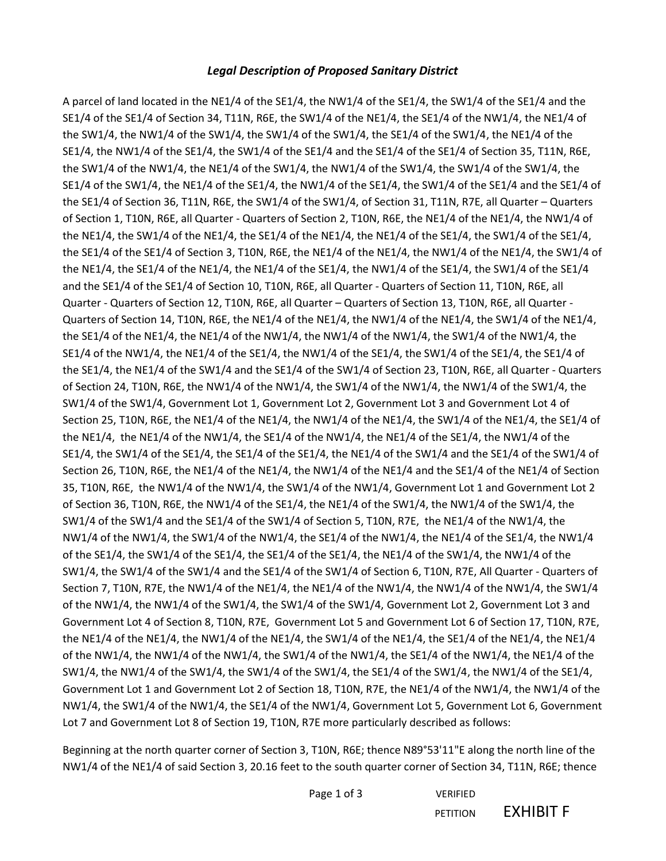## *Legal Description of Proposed Sanitary District*

A parcel of land located in the NE1/4 of the SE1/4, the NW1/4 of the SE1/4, the SW1/4 of the SE1/4 and the SE1/4 of the SE1/4 of Section 34, T11N, R6E, the SW1/4 of the NE1/4, the SE1/4 of the NW1/4, the NE1/4 of the SW1/4, the NW1/4 of the SW1/4, the SW1/4 of the SW1/4, the SE1/4 of the SW1/4, the NE1/4 of the SE1/4, the NW1/4 of the SE1/4, the SW1/4 of the SE1/4 and the SE1/4 of the SE1/4 of Section 35, T11N, R6E, the SW1/4 of the NW1/4, the NE1/4 of the SW1/4, the NW1/4 of the SW1/4, the SW1/4 of the SW1/4, the SE1/4 of the SW1/4, the NE1/4 of the SE1/4, the NW1/4 of the SE1/4, the SW1/4 of the SE1/4 and the SE1/4 of the SE1/4 of Section 36, T11N, R6E, the SW1/4 of the SW1/4, of Section 31, T11N, R7E, all Quarter – Quarters of Section 1, T10N, R6E, all Quarter - Quarters of Section 2, T10N, R6E, the NE1/4 of the NE1/4, the NW1/4 of the NE1/4, the SW1/4 of the NE1/4, the SE1/4 of the NE1/4, the NE1/4 of the SE1/4, the SW1/4 of the SE1/4, the SE1/4 of the SE1/4 of Section 3, T10N, R6E, the NE1/4 of the NE1/4, the NW1/4 of the NE1/4, the SW1/4 of the NE1/4, the SE1/4 of the NE1/4, the NE1/4 of the SE1/4, the NW1/4 of the SE1/4, the SW1/4 of the SE1/4 and the SE1/4 of the SE1/4 of Section 10, T10N, R6E, all Quarter - Quarters of Section 11, T10N, R6E, all Quarter - Quarters of Section 12, T10N, R6E, all Quarter – Quarters of Section 13, T10N, R6E, all Quarter - Quarters of Section 14, T10N, R6E, the NE1/4 of the NE1/4, the NW1/4 of the NE1/4, the SW1/4 of the NE1/4, the SE1/4 of the NE1/4, the NE1/4 of the NW1/4, the NW1/4 of the NW1/4, the SW1/4 of the NW1/4, the SE1/4 of the NW1/4, the NE1/4 of the SE1/4, the NW1/4 of the SE1/4, the SW1/4 of the SE1/4, the SE1/4 of the SE1/4, the NE1/4 of the SW1/4 and the SE1/4 of the SW1/4 of Section 23, T10N, R6E, all Quarter - Quarters of Section 24, T10N, R6E, the NW1/4 of the NW1/4, the SW1/4 of the NW1/4, the NW1/4 of the SW1/4, the SW1/4 of the SW1/4, Government Lot 1, Government Lot 2, Government Lot 3 and Government Lot 4 of Section 25, T10N, R6E, the NE1/4 of the NE1/4, the NW1/4 of the NE1/4, the SW1/4 of the NE1/4, the SE1/4 of the NE1/4, the NE1/4 of the NW1/4, the SE1/4 of the NW1/4, the NE1/4 of the SE1/4, the NW1/4 of the SE1/4, the SW1/4 of the SE1/4, the SE1/4 of the SE1/4, the NE1/4 of the SW1/4 and the SE1/4 of the SW1/4 of Section 26, T10N, R6E, the NE1/4 of the NE1/4, the NW1/4 of the NE1/4 and the SE1/4 of the NE1/4 of Section 35, T10N, R6E, the NW1/4 of the NW1/4, the SW1/4 of the NW1/4, Government Lot 1 and Government Lot 2 of Section 36, T10N, R6E, the NW1/4 of the SE1/4, the NE1/4 of the SW1/4, the NW1/4 of the SW1/4, the SW1/4 of the SW1/4 and the SE1/4 of the SW1/4 of Section 5, T10N, R7E, the NE1/4 of the NW1/4, the NW1/4 of the NW1/4, the SW1/4 of the NW1/4, the SE1/4 of the NW1/4, the NE1/4 of the SE1/4, the NW1/4 of the SE1/4, the SW1/4 of the SE1/4, the SE1/4 of the SE1/4, the NE1/4 of the SW1/4, the NW1/4 of the SW1/4, the SW1/4 of the SW1/4 and the SE1/4 of the SW1/4 of Section 6, T10N, R7E, All Quarter - Quarters of Section 7, T10N, R7E, the NW1/4 of the NE1/4, the NE1/4 of the NW1/4, the NW1/4 of the NW1/4, the SW1/4 of the NW1/4, the NW1/4 of the SW1/4, the SW1/4 of the SW1/4, Government Lot 2, Government Lot 3 and Government Lot 4 of Section 8, T10N, R7E, Government Lot 5 and Government Lot 6 of Section 17, T10N, R7E, the NE1/4 of the NE1/4, the NW1/4 of the NE1/4, the SW1/4 of the NE1/4, the SE1/4 of the NE1/4, the NE1/4 of the NW1/4, the NW1/4 of the NW1/4, the SW1/4 of the NW1/4, the SE1/4 of the NW1/4, the NE1/4 of the SW1/4, the NW1/4 of the SW1/4, the SW1/4 of the SW1/4, the SE1/4 of the SW1/4, the NW1/4 of the SE1/4, Government Lot 1 and Government Lot 2 of Section 18, T10N, R7E, the NE1/4 of the NW1/4, the NW1/4 of the NW1/4, the SW1/4 of the NW1/4, the SE1/4 of the NW1/4, Government Lot 5, Government Lot 6, Government Lot 7 and Government Lot 8 of Section 19, T10N, R7E more particularly described as follows:

Beginning at the north quarter corner of Section 3, T10N, R6E; thence N89°53'11"E along the north line of the NW1/4 of the NE1/4 of said Section 3, 20.16 feet to the south quarter corner of Section 34, T11N, R6E; thence

> Page 1 of 3 VERIFIED PETITION **EXHIBIT F**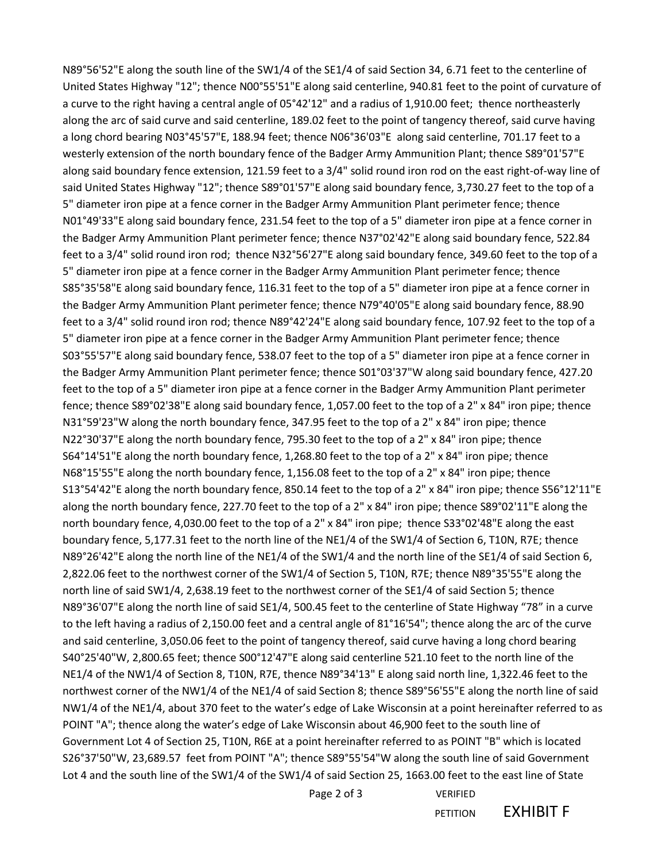N89°56'52"E along the south line of the SW1/4 of the SE1/4 of said Section 34, 6.71 feet to the centerline of United States Highway "12"; thence N00°55'51"E along said centerline, 940.81 feet to the point of curvature of a curve to the right having a central angle of 05°42'12" and a radius of 1,910.00 feet; thence northeasterly along the arc of said curve and said centerline, 189.02 feet to the point of tangency thereof, said curve having a long chord bearing N03°45'57"E, 188.94 feet; thence N06°36'03"E along said centerline, 701.17 feet to a westerly extension of the north boundary fence of the Badger Army Ammunition Plant; thence S89°01'57"E along said boundary fence extension, 121.59 feet to a 3/4" solid round iron rod on the east right-of-way line of said United States Highway "12"; thence S89°01'57"E along said boundary fence, 3,730.27 feet to the top of a 5" diameter iron pipe at a fence corner in the Badger Army Ammunition Plant perimeter fence; thence N01°49'33"E along said boundary fence, 231.54 feet to the top of a 5" diameter iron pipe at a fence corner in the Badger Army Ammunition Plant perimeter fence; thence N37°02'42"E along said boundary fence, 522.84 feet to a 3/4" solid round iron rod; thence N32°56'27"E along said boundary fence, 349.60 feet to the top of a 5" diameter iron pipe at a fence corner in the Badger Army Ammunition Plant perimeter fence; thence S85°35'58"E along said boundary fence, 116.31 feet to the top of a 5" diameter iron pipe at a fence corner in the Badger Army Ammunition Plant perimeter fence; thence N79°40'05"E along said boundary fence, 88.90 feet to a 3/4" solid round iron rod; thence N89°42'24"E along said boundary fence, 107.92 feet to the top of a 5" diameter iron pipe at a fence corner in the Badger Army Ammunition Plant perimeter fence; thence S03°55'57"E along said boundary fence, 538.07 feet to the top of a 5" diameter iron pipe at a fence corner in the Badger Army Ammunition Plant perimeter fence; thence S01°03'37"W along said boundary fence, 427.20 feet to the top of a 5" diameter iron pipe at a fence corner in the Badger Army Ammunition Plant perimeter fence; thence S89°02'38"E along said boundary fence, 1,057.00 feet to the top of a 2" x 84" iron pipe; thence N31°59'23"W along the north boundary fence, 347.95 feet to the top of a 2" x 84" iron pipe; thence N22°30'37"E along the north boundary fence, 795.30 feet to the top of a 2" x 84" iron pipe; thence S64°14'51"E along the north boundary fence, 1,268.80 feet to the top of a 2" x 84" iron pipe; thence N68°15'55"E along the north boundary fence, 1,156.08 feet to the top of a 2" x 84" iron pipe; thence S13°54'42"E along the north boundary fence, 850.14 feet to the top of a 2" x 84" iron pipe; thence S56°12'11"E along the north boundary fence, 227.70 feet to the top of a 2" x 84" iron pipe; thence S89°02'11"E along the north boundary fence, 4,030.00 feet to the top of a 2" x 84" iron pipe; thence S33°02'48"E along the east boundary fence, 5,177.31 feet to the north line of the NE1/4 of the SW1/4 of Section 6, T10N, R7E; thence N89°26'42"E along the north line of the NE1/4 of the SW1/4 and the north line of the SE1/4 of said Section 6, 2,822.06 feet to the northwest corner of the SW1/4 of Section 5, T10N, R7E; thence N89°35'55"E along the north line of said SW1/4, 2,638.19 feet to the northwest corner of the SE1/4 of said Section 5; thence N89°36'07"E along the north line of said SE1/4, 500.45 feet to the centerline of State Highway "78" in a curve to the left having a radius of 2,150.00 feet and a central angle of 81°16'54"; thence along the arc of the curve and said centerline, 3,050.06 feet to the point of tangency thereof, said curve having a long chord bearing S40°25'40"W, 2,800.65 feet; thence S00°12'47"E along said centerline 521.10 feet to the north line of the NE1/4 of the NW1/4 of Section 8, T10N, R7E, thence N89°34'13" E along said north line, 1,322.46 feet to the northwest corner of the NW1/4 of the NE1/4 of said Section 8; thence S89°56'55"E along the north line of said NW1/4 of the NE1/4, about 370 feet to the water's edge of Lake Wisconsin at a point hereinafter referred to as POINT "A"; thence along the water's edge of Lake Wisconsin about 46,900 feet to the south line of Government Lot 4 of Section 25, T10N, R6E at a point hereinafter referred to as POINT "B" which is located S26°37'50"W, 23,689.57 feet from POINT "A"; thence S89°55'54"W along the south line of said Government Lot 4 and the south line of the SW1/4 of the SW1/4 of said Section 25, 1663.00 feet to the east line of State

Page 2 of 3 VERIFIED

PETITION **EXHIBIT F**